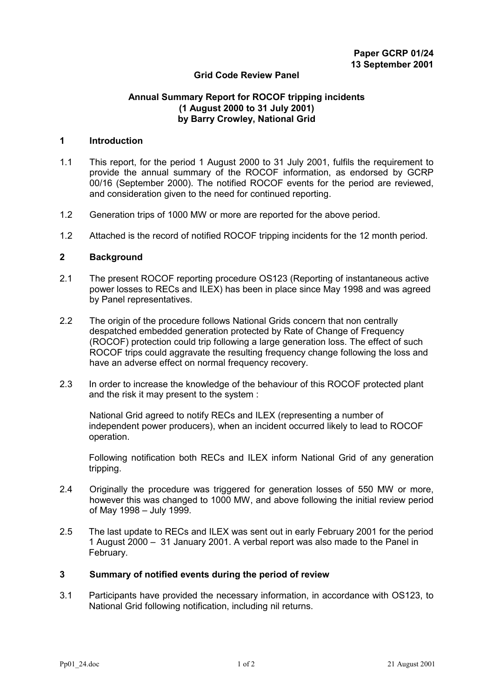# **Grid Code Review Panel**

# **Annual Summary Report for ROCOF tripping incidents (1 August 2000 to 31 July 2001) by Barry Crowley, National Grid**

#### **1 Introduction**

- 1.1 This report, for the period 1 August 2000 to 31 July 2001, fulfils the requirement to provide the annual summary of the ROCOF information, as endorsed by GCRP 00/16 (September 2000). The notified ROCOF events for the period are reviewed, and consideration given to the need for continued reporting.
- 1.2 Generation trips of 1000 MW or more are reported for the above period.
- 1.2 Attached is the record of notified ROCOF tripping incidents for the 12 month period.

#### **2 Background**

- 2.1 The present ROCOF reporting procedure OS123 (Reporting of instantaneous active power losses to RECs and ILEX) has been in place since May 1998 and was agreed by Panel representatives.
- 2.2 The origin of the procedure follows National Grids concern that non centrally despatched embedded generation protected by Rate of Change of Frequency (ROCOF) protection could trip following a large generation loss. The effect of such ROCOF trips could aggravate the resulting frequency change following the loss and have an adverse effect on normal frequency recovery.
- 2.3 In order to increase the knowledge of the behaviour of this ROCOF protected plant and the risk it may present to the system :

National Grid agreed to notify RECs and ILEX (representing a number of independent power producers), when an incident occurred likely to lead to ROCOF operation.

Following notification both RECs and ILEX inform National Grid of any generation tripping.

- 2.4 Originally the procedure was triggered for generation losses of 550 MW or more, however this was changed to 1000 MW, and above following the initial review period of May 1998 – July 1999.
- 2.5 The last update to RECs and ILEX was sent out in early February 2001 for the period 1 August 2000 – 31 January 2001. A verbal report was also made to the Panel in February.

#### **3 Summary of notified events during the period of review**

3.1 Participants have provided the necessary information, in accordance with OS123, to National Grid following notification, including nil returns.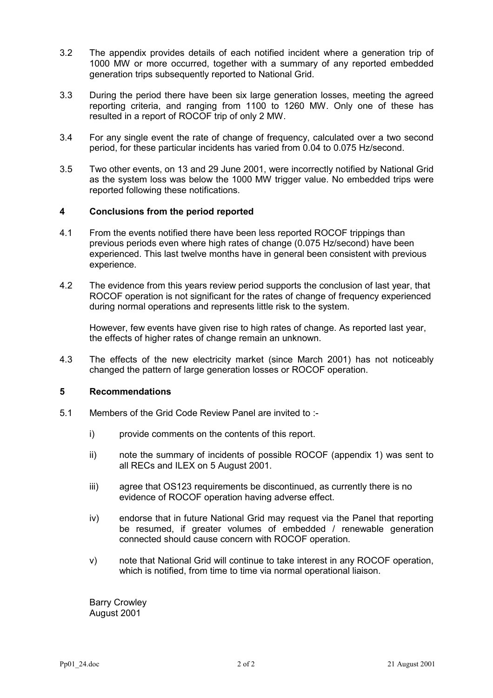- 3.2 The appendix provides details of each notified incident where a generation trip of 1000 MW or more occurred, together with a summary of any reported embedded generation trips subsequently reported to National Grid.
- 3.3 During the period there have been six large generation losses, meeting the agreed reporting criteria, and ranging from 1100 to 1260 MW. Only one of these has resulted in a report of ROCOF trip of only 2 MW.
- 3.4 For any single event the rate of change of frequency, calculated over a two second period, for these particular incidents has varied from 0.04 to 0.075 Hz/second.
- 3.5 Two other events, on 13 and 29 June 2001, were incorrectly notified by National Grid as the system loss was below the 1000 MW trigger value. No embedded trips were reported following these notifications.

### **4 Conclusions from the period reported**

- 4.1 From the events notified there have been less reported ROCOF trippings than previous periods even where high rates of change (0.075 Hz/second) have been experienced. This last twelve months have in general been consistent with previous experience.
- 4.2 The evidence from this years review period supports the conclusion of last year, that ROCOF operation is not significant for the rates of change of frequency experienced during normal operations and represents little risk to the system.

However, few events have given rise to high rates of change. As reported last year, the effects of higher rates of change remain an unknown.

4.3 The effects of the new electricity market (since March 2001) has not noticeably changed the pattern of large generation losses or ROCOF operation.

#### **5 Recommendations**

- 5.1 Members of the Grid Code Review Panel are invited to :
	- i) provide comments on the contents of this report.
	- ii) note the summary of incidents of possible ROCOF (appendix 1) was sent to all RECs and ILEX on 5 August 2001.
	- iii) agree that OS123 requirements be discontinued, as currently there is no evidence of ROCOF operation having adverse effect.
	- iv) endorse that in future National Grid may request via the Panel that reporting be resumed, if greater volumes of embedded / renewable generation connected should cause concern with ROCOF operation.
	- v) note that National Grid will continue to take interest in any ROCOF operation, which is notified, from time to time via normal operational liaison.

Barry Crowley August 2001